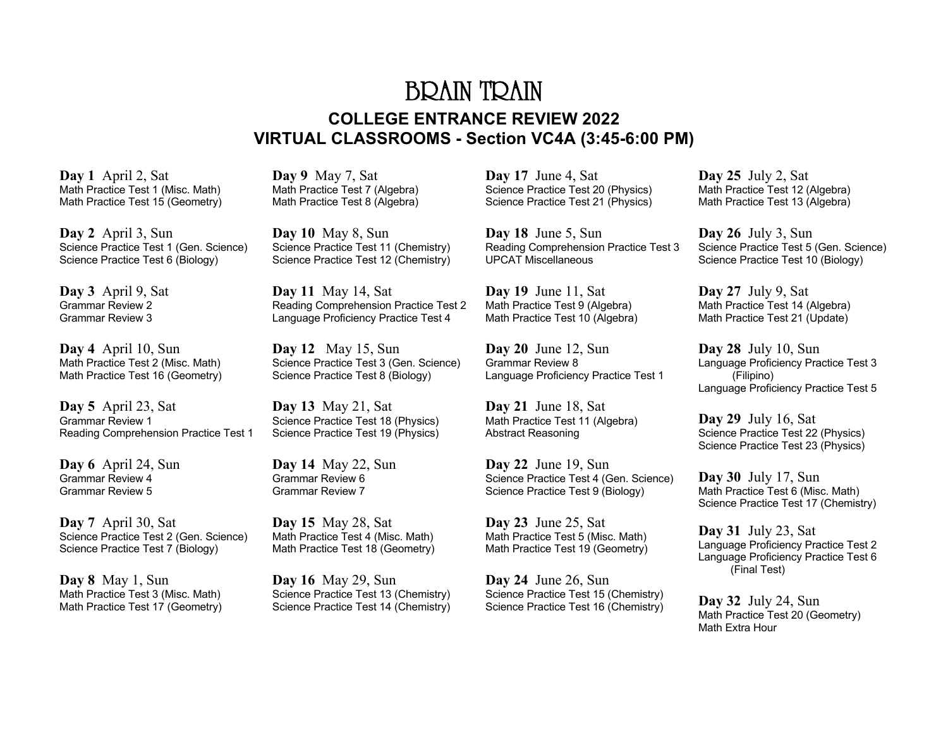## BRAIN TRAIN **COLLEGE ENTRANCE REVIEW 2022 VIRTUAL CLASSROOMS - Section VC4A (3:45-6:00 PM)**

**Day 1** April 2, Sat Math Practice Test 1 (Misc. Math) Math Practice Test 15 (Geometry)

**Day 2** April 3, Sun Science Practice Test 1 (Gen. Science) Science Practice Test 6 (Biology)

**Day 3** April 9, Sat Grammar Review 2 Grammar Review 3

**Day 4** April 10, Sun Math Practice Test 2 (Misc. Math) Math Practice Test 16 (Geometry)

**Day 5** April 23, Sat Grammar Review 1 Reading Comprehension Practice Test 1

**Day 6** April 24, Sun Grammar Review 4 Grammar Review 5

**Day 7** April 30, Sat Science Practice Test 2 (Gen. Science) Science Practice Test 7 (Biology)

**Day 8** May 1, Sun Math Practice Test 3 (Misc. Math) Math Practice Test 17 (Geometry) **Day 9** May 7, Sat Math Practice Test 7 (Algebra) Math Practice Test 8 (Algebra)

**Day 10** May 8, Sun Science Practice Test 11 (Chemistry) Science Practice Test 12 (Chemistry)

**Day 11** May 14, Sat Reading Comprehension Practice Test 2 Language Proficiency Practice Test 4

**Day 12** May 15, Sun Science Practice Test 3 (Gen. Science) Science Practice Test 8 (Biology)

**Day 13** May 21, Sat Science Practice Test 18 (Physics) Science Practice Test 19 (Physics)

**Day 14** May 22, Sun Grammar Review 6 Grammar Review 7

**Day 15** May 28, Sat Math Practice Test 4 (Misc. Math) Math Practice Test 18 (Geometry)

**Day 16** May 29, Sun Science Practice Test 13 (Chemistry) Science Practice Test 14 (Chemistry) **Day 17** June 4, Sat Science Practice Test 20 (Physics) Science Practice Test 21 (Physics)

**Day 18** June 5, Sun Reading Comprehension Practice Test 3 UPCAT Miscellaneous

**Day 19** June 11, Sat Math Practice Test 9 (Algebra) Math Practice Test 10 (Algebra)

**Day 20** June 12, Sun Grammar Review 8 Language Proficiency Practice Test 1

**Day 21** June 18, Sat Math Practice Test 11 (Algebra) Abstract Reasoning

**Day 22** June 19, Sun Science Practice Test 4 (Gen. Science) Science Practice Test 9 (Biology)

**Day 23** June 25, Sat Math Practice Test 5 (Misc. Math) Math Practice Test 19 (Geometry)

**Day 24** June 26, Sun Science Practice Test 15 (Chemistry) Science Practice Test 16 (Chemistry) **Day 25** July 2, Sat Math Practice Test 12 (Algebra) Math Practice Test 13 (Algebra)

**Day 26** July 3, Sun Science Practice Test 5 (Gen. Science) Science Practice Test 10 (Biology)

**Day 27** July 9, Sat Math Practice Test 14 (Algebra) Math Practice Test 21 (Update)

**Day 28** July 10, Sun Language Proficiency Practice Test 3 (Filipino) Language Proficiency Practice Test 5

**Day 29** July 16, Sat Science Practice Test 22 (Physics) Science Practice Test 23 (Physics)

**Day 30** July 17, Sun Math Practice Test 6 (Misc. Math) Science Practice Test 17 (Chemistry)

**Day 31** July 23, Sat Language Proficiency Practice Test 2 Language Proficiency Practice Test 6 (Final Test)

**Day 32** July 24, Sun Math Practice Test 20 (Geometry) Math Extra Hour